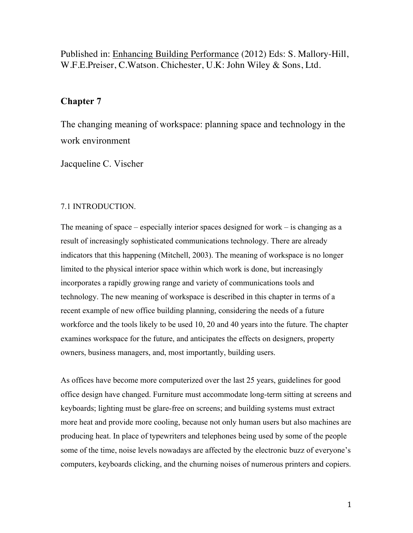Published in: Enhancing Building Performance (2012) Eds: S. Mallory-Hill, W.F.E.Preiser, C.Watson. Chichester, U.K: John Wiley & Sons, Ltd.

# **Chapter 7**

The changing meaning of workspace: planning space and technology in the work environment

Jacqueline C. Vischer

# 7.1 INTRODUCTION.

The meaning of space – especially interior spaces designed for work – is changing as a result of increasingly sophisticated communications technology. There are already indicators that this happening (Mitchell, 2003). The meaning of workspace is no longer limited to the physical interior space within which work is done, but increasingly incorporates a rapidly growing range and variety of communications tools and technology. The new meaning of workspace is described in this chapter in terms of a recent example of new office building planning, considering the needs of a future workforce and the tools likely to be used 10, 20 and 40 years into the future. The chapter examines workspace for the future, and anticipates the effects on designers, property owners, business managers, and, most importantly, building users.

As offices have become more computerized over the last 25 years, guidelines for good office design have changed. Furniture must accommodate long-term sitting at screens and keyboards; lighting must be glare-free on screens; and building systems must extract more heat and provide more cooling, because not only human users but also machines are producing heat. In place of typewriters and telephones being used by some of the people some of the time, noise levels nowadays are affected by the electronic buzz of everyone's computers, keyboards clicking, and the churning noises of numerous printers and copiers.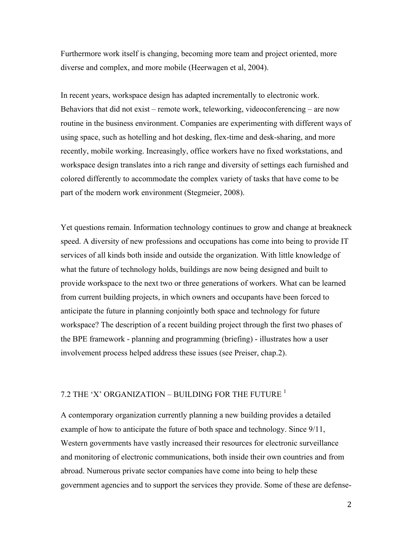Furthermore work itself is changing, becoming more team and project oriented, more diverse and complex, and more mobile (Heerwagen et al, 2004).

In recent years, workspace design has adapted incrementally to electronic work. Behaviors that did not exist – remote work, teleworking, videoconferencing – are now routine in the business environment. Companies are experimenting with different ways of using space, such as hotelling and hot desking, flex-time and desk-sharing, and more recently, mobile working. Increasingly, office workers have no fixed workstations, and workspace design translates into a rich range and diversity of settings each furnished and colored differently to accommodate the complex variety of tasks that have come to be part of the modern work environment (Stegmeier, 2008).

Yet questions remain. Information technology continues to grow and change at breakneck speed. A diversity of new professions and occupations has come into being to provide IT services of all kinds both inside and outside the organization. With little knowledge of what the future of technology holds, buildings are now being designed and built to provide workspace to the next two or three generations of workers. What can be learned from current building projects, in which owners and occupants have been forced to anticipate the future in planning conjointly both space and technology for future workspace? The description of a recent building project through the first two phases of the BPE framework - planning and programming (briefing) - illustrates how a user involvement process helped address these issues (see Preiser, chap.2).

# 7.2 THE 'X' ORGANIZATION – BUILDING FOR THE FUTURE  $^1$

A contemporary organization currently planning a new building provides a detailed example of how to anticipate the future of both space and technology. Since 9/11, Western governments have vastly increased their resources for electronic surveillance and monitoring of electronic communications, both inside their own countries and from abroad. Numerous private sector companies have come into being to help these government agencies and to support the services they provide. Some of these are defense-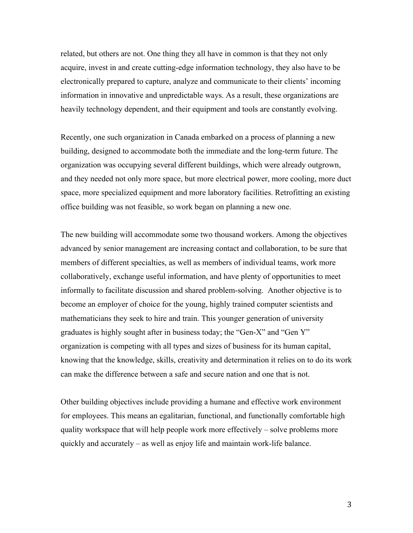related, but others are not. One thing they all have in common is that they not only acquire, invest in and create cutting-edge information technology, they also have to be electronically prepared to capture, analyze and communicate to their clients' incoming information in innovative and unpredictable ways. As a result, these organizations are heavily technology dependent, and their equipment and tools are constantly evolving.

Recently, one such organization in Canada embarked on a process of planning a new building, designed to accommodate both the immediate and the long-term future. The organization was occupying several different buildings, which were already outgrown, and they needed not only more space, but more electrical power, more cooling, more duct space, more specialized equipment and more laboratory facilities. Retrofitting an existing office building was not feasible, so work began on planning a new one.

The new building will accommodate some two thousand workers. Among the objectives advanced by senior management are increasing contact and collaboration, to be sure that members of different specialties, as well as members of individual teams, work more collaboratively, exchange useful information, and have plenty of opportunities to meet informally to facilitate discussion and shared problem-solving. Another objective is to become an employer of choice for the young, highly trained computer scientists and mathematicians they seek to hire and train. This younger generation of university graduates is highly sought after in business today; the "Gen-X" and "Gen Y" organization is competing with all types and sizes of business for its human capital, knowing that the knowledge, skills, creativity and determination it relies on to do its work can make the difference between a safe and secure nation and one that is not.

Other building objectives include providing a humane and effective work environment for employees. This means an egalitarian, functional, and functionally comfortable high quality workspace that will help people work more effectively – solve problems more quickly and accurately – as well as enjoy life and maintain work-life balance.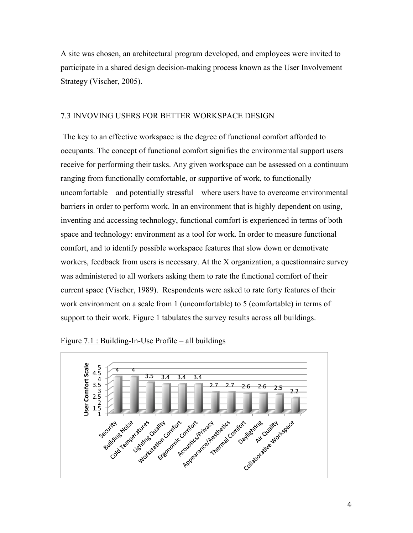A site was chosen, an architectural program developed, and employees were invited to participate in a shared design decision-making process known as the User Involvement Strategy (Vischer, 2005).

### 7.3 INVOVING USERS FOR BETTER WORKSPACE DESIGN

The key to an effective workspace is the degree of functional comfort afforded to occupants. The concept of functional comfort signifies the environmental support users receive for performing their tasks. Any given workspace can be assessed on a continuum ranging from functionally comfortable, or supportive of work, to functionally uncomfortable – and potentially stressful – where users have to overcome environmental barriers in order to perform work. In an environment that is highly dependent on using, inventing and accessing technology, functional comfort is experienced in terms of both space and technology: environment as a tool for work. In order to measure functional comfort, and to identify possible workspace features that slow down or demotivate workers, feedback from users is necessary. At the X organization, a questionnaire survey was administered to all workers asking them to rate the functional comfort of their current space (Vischer, 1989). Respondents were asked to rate forty features of their work environment on a scale from 1 (uncomfortable) to 5 (comfortable) in terms of support to their work. Figure 1 tabulates the survey results across all buildings.



#### Figure 7.1 : Building-In-Use Profile – all buildings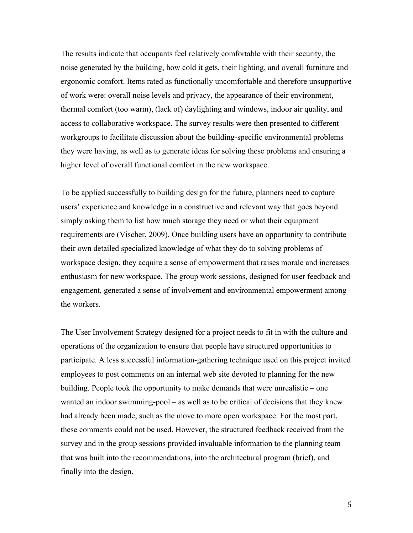The results indicate that occupants feel relatively comfortable with their security, the noise generated by the building, how cold it gets, their lighting, and overall furniture and ergonomic comfort. Items rated as functionally uncomfortable and therefore unsupportive of work were: overall noise levels and privacy, the appearance of their environment, thermal comfort (too warm), (lack of) daylighting and windows, indoor air quality, and access to collaborative workspace. The survey results were then presented to different workgroups to facilitate discussion about the building-specific environmental problems they were having, as well as to generate ideas for solving these problems and ensuring a higher level of overall functional comfort in the new workspace.

To be applied successfully to building design for the future, planners need to capture users' experience and knowledge in a constructive and relevant way that goes beyond simply asking them to list how much storage they need or what their equipment requirements are (Vischer, 2009). Once building users have an opportunity to contribute their own detailed specialized knowledge of what they do to solving problems of workspace design, they acquire a sense of empowerment that raises morale and increases enthusiasm for new workspace. The group work sessions, designed for user feedback and engagement, generated a sense of involvement and environmental empowerment among the workers.

The User Involvement Strategy designed for a project needs to fit in with the culture and operations of the organization to ensure that people have structured opportunities to participate. A less successful information-gathering technique used on this project invited employees to post comments on an internal web site devoted to planning for the new building. People took the opportunity to make demands that were unrealistic – one wanted an indoor swimming-pool – as well as to be critical of decisions that they knew had already been made, such as the move to more open workspace. For the most part, these comments could not be used. However, the structured feedback received from the survey and in the group sessions provided invaluable information to the planning team that was built into the recommendations, into the architectural program (brief), and finally into the design.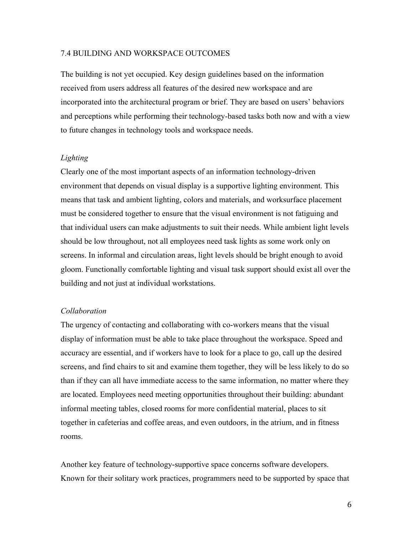### 7.4 BUILDING AND WORKSPACE OUTCOMES

The building is not yet occupied. Key design guidelines based on the information received from users address all features of the desired new workspace and are incorporated into the architectural program or brief. They are based on users' behaviors and perceptions while performing their technology-based tasks both now and with a view to future changes in technology tools and workspace needs.

#### *Lighting*

Clearly one of the most important aspects of an information technology-driven environment that depends on visual display is a supportive lighting environment. This means that task and ambient lighting, colors and materials, and worksurface placement must be considered together to ensure that the visual environment is not fatiguing and that individual users can make adjustments to suit their needs. While ambient light levels should be low throughout, not all employees need task lights as some work only on screens. In informal and circulation areas, light levels should be bright enough to avoid gloom. Functionally comfortable lighting and visual task support should exist all over the building and not just at individual workstations.

#### *Collaboration*

The urgency of contacting and collaborating with co-workers means that the visual display of information must be able to take place throughout the workspace. Speed and accuracy are essential, and if workers have to look for a place to go, call up the desired screens, and find chairs to sit and examine them together, they will be less likely to do so than if they can all have immediate access to the same information, no matter where they are located. Employees need meeting opportunities throughout their building: abundant informal meeting tables, closed rooms for more confidential material, places to sit together in cafeterias and coffee areas, and even outdoors, in the atrium, and in fitness rooms.

Another key feature of technology-supportive space concerns software developers. Known for their solitary work practices, programmers need to be supported by space that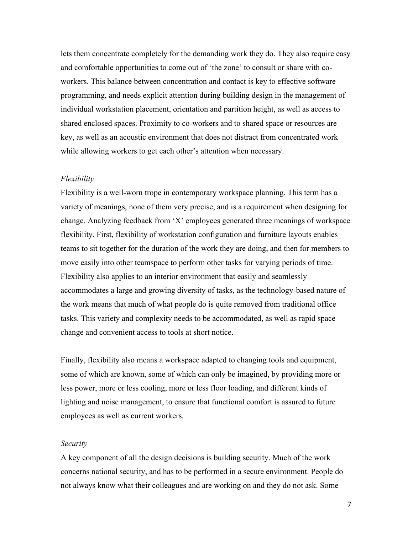lets them concentrate completely for the demanding work they do. They also require easy and comfortable opportunities to come out of 'the zone' to consult or share with coworkers. This balance between concentration and contact is key to effective software programming, and needs explicit attention during building design in the management of individual workstation placement, orientation and partition height, as well as access to shared enclosed spaces. Proximity to co-workers and to shared space or resources are key, as well as an acoustic environment that does not distract from concentrated work while allowing workers to get each other's attention when necessary.

### *Flexibility*

Flexibility is a well-worn trope in contemporary workspace planning. This term has a variety of meanings, none of them very precise, and is a requirement when designing for change. Analyzing feedback from 'X' employees generated three meanings of workspace flexibility. First, flexibility of workstation configuration and furniture layouts enables teams to sit together for the duration of the work they are doing, and then for members to move easily into other teamspace to perform other tasks for varying periods of time. Flexibility also applies to an interior environment that easily and seamlessly accommodates a large and growing diversity of tasks, as the technology-based nature of the work means that much of what people do is quite removed from traditional office tasks. This variety and complexity needs to be accommodated, as well as rapid space change and convenient access to tools at short notice.

Finally, flexibility also means a workspace adapted to changing tools and equipment, some of which are known, some of which can only be imagined, by providing more or less power, more or less cooling, more or less floor loading, and different kinds of lighting and noise management, to ensure that functional comfort is assured to future employees as well as current workers.

#### *Security*

A key component of all the design decisions is building security. Much of the work concerns national security, and has to be performed in a secure environment. People do not always know what their colleagues and are working on and they do not ask. Some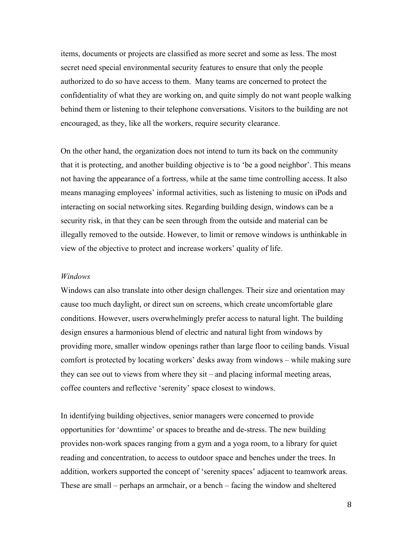items, documents or projects are classified as more secret and some as less. The most secret need special environmental security features to ensure that only the people authorized to do so have access to them. Many teams are concerned to protect the confidentiality of what they are working on, and quite simply do not want people walking behind them or listening to their telephone conversations. Visitors to the building are not encouraged, as they, like all the workers, require security clearance.

On the other hand, the organization does not intend to turn its back on the community that it is protecting, and another building objective is to 'be a good neighbor'. This means not having the appearance of a fortress, while at the same time controlling access. It also means managing employees' informal activities, such as listening to music on iPods and interacting on social networking sites. Regarding building design, windows can be a security risk, in that they can be seen through from the outside and material can be illegally removed to the outside. However, to limit or remove windows is unthinkable in view of the objective to protect and increase workers' quality of life.

#### *Windows*

Windows can also translate into other design challenges. Their size and orientation may cause too much daylight, or direct sun on screens, which create uncomfortable glare conditions. However, users overwhelmingly prefer access to natural light. The building design ensures a harmonious blend of electric and natural light from windows by providing more, smaller window openings rather than large floor to ceiling bands. Visual comfort is protected by locating workers' desks away from windows – while making sure they can see out to views from where they sit – and placing informal meeting areas, coffee counters and reflective 'serenity' space closest to windows.

In identifying building objectives, senior managers were concerned to provide opportunities for 'downtime' or spaces to breathe and de-stress. The new building provides non-work spaces ranging from a gym and a yoga room, to a library for quiet reading and concentration, to access to outdoor space and benches under the trees. In addition, workers supported the concept of 'serenity spaces' adjacent to teamwork areas. These are small – perhaps an armchair, or a bench – facing the window and sheltered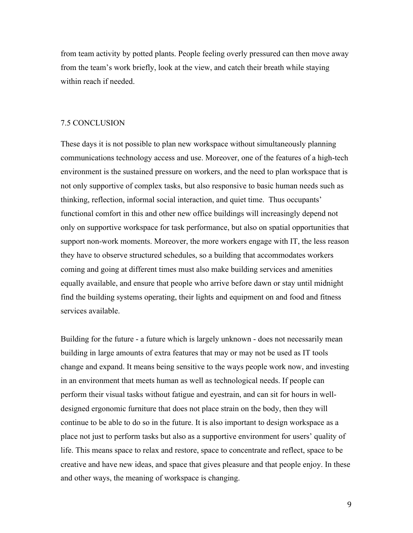from team activity by potted plants. People feeling overly pressured can then move away from the team's work briefly, look at the view, and catch their breath while staying within reach if needed.

#### 7.5 CONCLUSION

These days it is not possible to plan new workspace without simultaneously planning communications technology access and use. Moreover, one of the features of a high-tech environment is the sustained pressure on workers, and the need to plan workspace that is not only supportive of complex tasks, but also responsive to basic human needs such as thinking, reflection, informal social interaction, and quiet time. Thus occupants' functional comfort in this and other new office buildings will increasingly depend not only on supportive workspace for task performance, but also on spatial opportunities that support non-work moments. Moreover, the more workers engage with IT, the less reason they have to observe structured schedules, so a building that accommodates workers coming and going at different times must also make building services and amenities equally available, and ensure that people who arrive before dawn or stay until midnight find the building systems operating, their lights and equipment on and food and fitness services available.

Building for the future - a future which is largely unknown - does not necessarily mean building in large amounts of extra features that may or may not be used as IT tools change and expand. It means being sensitive to the ways people work now, and investing in an environment that meets human as well as technological needs. If people can perform their visual tasks without fatigue and eyestrain, and can sit for hours in welldesigned ergonomic furniture that does not place strain on the body, then they will continue to be able to do so in the future. It is also important to design workspace as a place not just to perform tasks but also as a supportive environment for users' quality of life. This means space to relax and restore, space to concentrate and reflect, space to be creative and have new ideas, and space that gives pleasure and that people enjoy. In these and other ways, the meaning of workspace is changing.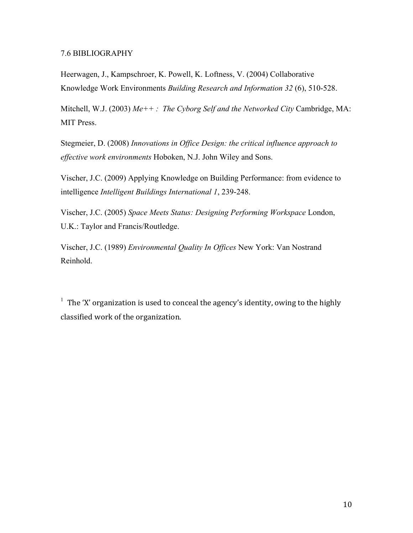# 7.6 BIBLIOGRAPHY

Heerwagen, J., Kampschroer, K. Powell, K. Loftness, V. (2004) Collaborative Knowledge Work Environments *Building Research and Information 32* (6), 510-528.

Mitchell, W.J. (2003) *Me++ : The Cyborg Self and the Networked City* Cambridge, MA: MIT Press.

Stegmeier, D. (2008) *Innovations in Office Design: the critical influence approach to effective work environments* Hoboken, N.J. John Wiley and Sons.

Vischer, J.C. (2009) Applying Knowledge on Building Performance: from evidence to intelligence *Intelligent Buildings International 1*, 239-248.

Vischer, J.C. (2005) *Space Meets Status: Designing Performing Workspace* London, U.K.: Taylor and Francis/Routledge.

Vischer, J.C. (1989) *Environmental Quality In Offices* New York: Van Nostrand Reinhold.

<sup>1</sup> The 'X' organization is used to conceal the agency's identity, owing to the highly classified work of the organization.